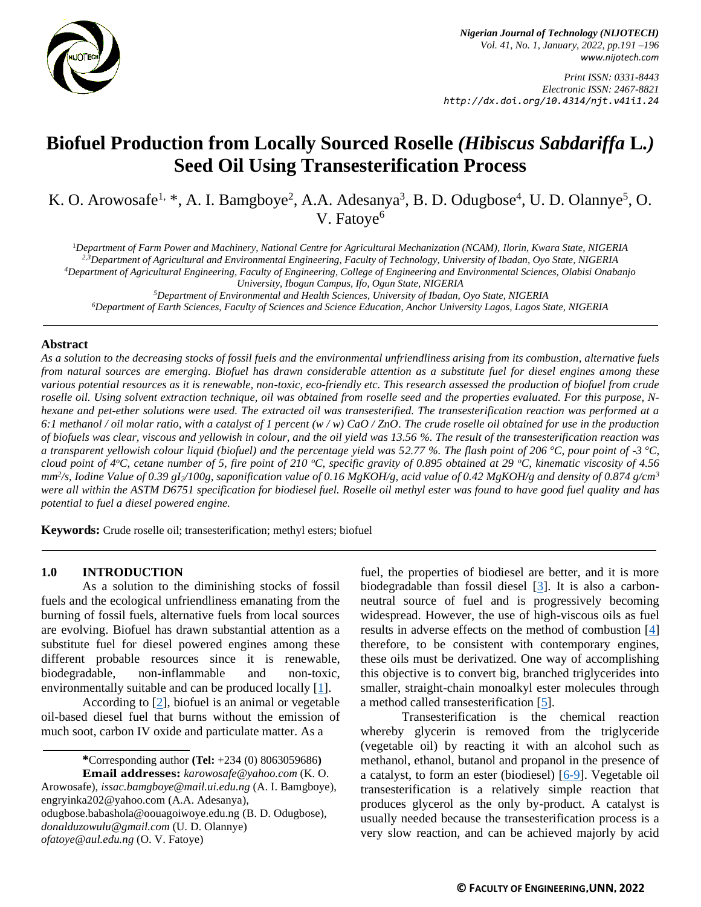

*Print ISSN: 0331-8443 Electronic ISSN: 2467-8821 http://dx.doi.org/10.4314/njt.v41i1.24*

# **Biofuel Production from Locally Sourced Roselle** *(Hibiscus Sabdariffa* **L***.)* **Seed Oil Using Transesterification Process**

K. O. Arowosafe<sup>1, \*</sup>, A. I. Bamgboye<sup>2</sup>, A.A. Adesanya<sup>3</sup>, B. D. Odugbose<sup>4</sup>, U. D. Olannye<sup>5</sup>, O. V. Fatoye<sup>6</sup>

<sup>1</sup>*Department of Farm Power and Machinery, National Centre for Agricultural Mechanization (NCAM), Ilorin, Kwara State, NIGERIA 2,3Department of Agricultural and Environmental Engineering, Faculty of Technology, University of Ibadan, Oyo State, NIGERIA <sup>4</sup>Department of Agricultural Engineering, Faculty of Engineering, College of Engineering and Environmental Sciences, Olabisi Onabanjo University, Ibogun Campus, Ifo, Ogun State, NIGERIA <sup>5</sup>Department of Environmental and Health Sciences, University of Ibadan, Oyo State, NIGERIA*

*<sup>6</sup>Department of Earth Sciences, Faculty of Sciences and Science Education, Anchor University Lagos, Lagos State, NIGERIA*

#### **Abstract**

*As a solution to the decreasing stocks of fossil fuels and the environmental unfriendliness arising from its combustion, alternative fuels from natural sources are emerging. Biofuel has drawn considerable attention as a substitute fuel for diesel engines among these various potential resources as it is renewable, non-toxic, eco-friendly etc. This research assessed the production of biofuel from crude roselle oil. Using solvent extraction technique, oil was obtained from roselle seed and the properties evaluated. For this purpose, Nhexane and pet-ether solutions were used. The extracted oil was transesterified. The transesterification reaction was performed at a 6:1 methanol / oil molar ratio, with a catalyst of 1 percent (w / w) CaO / ZnO. The crude roselle oil obtained for use in the production of biofuels was clear, viscous and yellowish in colour, and the oil yield was 13.56 %. The result of the transesterification reaction was a transparent yellowish colour liquid (biofuel) and the percentage yield was 52.77 %. The flash point of 206 °C, pour point of -3 °C, cloud point of 4<sup>o</sup>C, cetane number of 5, fire point of 210 <sup>o</sup>C, specific gravity of 0.895 obtained at 29 <sup>o</sup>C, kinematic viscosity of 4.56 mm<sup>2</sup> /s, Iodine Value of 0.39 gI2/100g, saponification value of 0.16 MgKOH/g, acid value of 0.42 MgKOH/g and density of 0.874 g/cm<sup>3</sup> were all within the ASTM D6751 specification for biodiesel fuel. Roselle oil methyl ester was found to have good fuel quality and has potential to fuel a diesel powered engine.*

**Keywords:** Crude roselle oil; transesterification; methyl esters; biofuel

#### **1.0 INTRODUCTION**

As a solution to the diminishing stocks of fossil fuels and the ecological unfriendliness emanating from the burning of fossil fuels, alternative fuels from local sources are evolving. Biofuel has drawn substantial attention as a substitute fuel for diesel powered engines among these different probable resources since it is renewable, biodegradable, non-inflammable and non-toxic, environmentally suitable and can be produced locally [\[1\]](#page-4-0).

According to [\[2\]](#page-4-1), biofuel is an animal or vegetable oil-based diesel fuel that burns without the emission of much soot, carbon IV oxide and particulate matter. As a

smaller, straight-chain monoalkyl ester molecules through a method called transesterification [\[5\]](#page-4-4). Transesterification is the chemical reaction whereby glycerin is removed from the triglyceride (vegetable oil) by reacting it with an alcohol such as

methanol, ethanol, butanol and propanol in the presence of a catalyst, to form an ester (biodiesel) [\[6-9\]](#page-4-5). Vegetable oil transesterification is a relatively simple reaction that produces glycerol as the only by-product. A catalyst is usually needed because the transesterification process is a very slow reaction, and can be achieved majorly by acid

fuel, the properties of biodiesel are better, and it is more biodegradable than fossil diesel [\[3\]](#page-4-2). It is also a carbonneutral source of fuel and is progressively becoming widespread. However, the use of high-viscous oils as fuel results in adverse effects on the method of combustion [\[4\]](#page-4-3) therefore, to be consistent with contemporary engines, these oils must be derivatized. One way of accomplishing this objective is to convert big, branched triglycerides into

**<sup>\*</sup>**Corresponding author **[\(Te](mailto:samnnaemeka.ugwu@unn.edu.ng)l:** +234 (0) 8063059686**) Email addresses:** *[karowosafe@y](mailto:karowosafe@)ahoo.com* (K. O.

Arowosafe), *[issac.bamgboye@mail.ui.edu.ng](mailto:issac.bamgboye@mail.ui.edu.ng)* (A. I. Bamgboye), [engryinka202@yahoo.com](mailto:engryinka202@yahoo.com) (A.A. Adesanya), odugbose.babashola@oouagoiwoye.edu.ng (B. D. Odugbose), *[donalduzowulu@gmail.com](mailto:donalduzowulu@gmail.com)* (U. D. Olannye) *[ofatoye@aul.edu.ng](mailto:ofatoye@aul.edu.ng)* (O. V. Fatoye)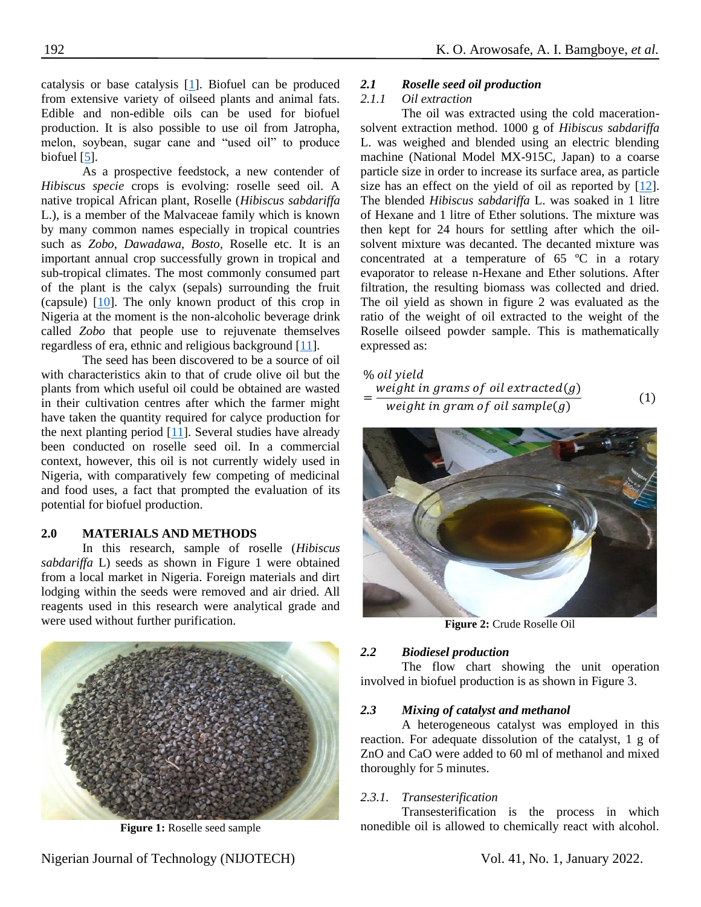catalysis or base catalysis [\[1\]](#page-4-0). Biofuel can be produced from extensive variety of oilseed plants and animal fats. Edible and non-edible oils can be used for biofuel production. It is also possible to use oil from Jatropha, melon, soybean, sugar cane and "used oil" to produce biofuel [\[5\]](#page-4-4).

As a prospective feedstock, a new contender of *Hibiscus specie* crops is evolving: roselle seed oil. A native tropical African plant, Roselle (*Hibiscus sabdariffa*  L.), is a member of the Malvaceae family which is known by many common names especially in tropical countries such as *Zobo, Dawadawa, Bosto,* Roselle etc. It is an important annual crop successfully grown in tropical and sub-tropical climates. The most commonly consumed part of the plant is the calyx (sepals) surrounding the fruit (capsule) [\[10\]](#page-5-0). The only known product of this crop in Nigeria at the moment is the non-alcoholic beverage drink called *Zobo* that people use to rejuvenate themselves regardless of era, ethnic and religious background [\[11\]](#page-5-1).

The seed has been discovered to be a source of oil with characteristics akin to that of crude olive oil but the plants from which useful oil could be obtained are wasted in their cultivation centres after which the farmer might have taken the quantity required for calyce production for the next planting period  $[11]$ . Several studies have already been conducted on roselle seed oil. In a commercial context, however, this oil is not currently widely used in Nigeria, with comparatively few competing of medicinal and food uses, a fact that prompted the evaluation of its potential for biofuel production.

# **2.0 MATERIALS AND METHODS**

In this research, sample of roselle (*Hibiscus sabdariffa* L) seeds as shown in Figure 1 were obtained from a local market in Nigeria. Foreign materials and dirt lodging within the seeds were removed and air dried. All reagents used in this research were analytical grade and were used without further purification.



**Figure 1:** Roselle seed sample

# *2.1 Roselle seed oil production*

# *2.1.1 Oil extraction*

The oil was extracted using the cold macerationsolvent extraction method. 1000 g of *Hibiscus sabdariffa*  L. was weighed and blended using an electric blending machine (National Model MX-915C, Japan) to a coarse particle size in order to increase its surface area, as particle size has an effect on the yield of oil as reported by [\[12\]](#page-5-2). The blended *Hibiscus sabdariffa* L. was soaked in 1 litre of Hexane and 1 litre of Ether solutions. The mixture was then kept for 24 hours for settling after which the oilsolvent mixture was decanted. The decanted mixture was concentrated at a temperature of 65 ºC in a rotary evaporator to release n-Hexane and Ether solutions. After filtration, the resulting biomass was collected and dried. The oil yield as shown in figure 2 was evaluated as the ratio of the weight of oil extracted to the weight of the Roselle oilseed powder sample. This is mathematically expressed as:

| % oil yield                            |     |
|----------------------------------------|-----|
| weight in grams of oil extracted $(g)$ |     |
| weight in gram of oil sample( $q$ )    | (1) |



**Figure 2:** Crude Roselle Oil

# *2.2 Biodiesel production*

The flow chart showing the unit operation involved in biofuel production is as shown in Figure 3.

# *2.3 Mixing of catalyst and methanol*

A heterogeneous catalyst was employed in this reaction. For adequate dissolution of the catalyst, 1 g of ZnO and CaO were added to 60 ml of methanol and mixed thoroughly for 5 minutes.

# *2.3.1. Transesterification*

Transesterification is the process in which nonedible oil is allowed to chemically react with alcohol.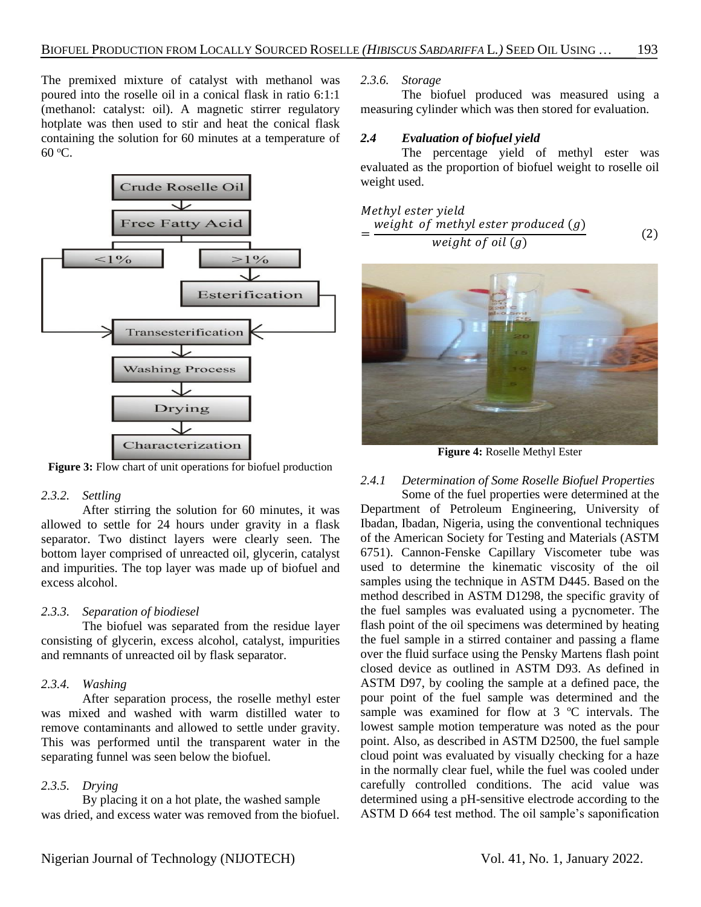The premixed mixture of catalyst with methanol was poured into the roselle oil in a conical flask in ratio 6:1:1 (methanol: catalyst: oil). A magnetic stirrer regulatory hotplate was then used to stir and heat the conical flask containing the solution for 60 minutes at a temperature of 60 <sup>o</sup>C.



**Figure 3:** Flow chart of unit operations for biofuel production

#### *2.3.2. Settling*

After stirring the solution for 60 minutes, it was allowed to settle for 24 hours under gravity in a flask separator. Two distinct layers were clearly seen. The bottom layer comprised of unreacted oil, glycerin, catalyst and impurities. The top layer was made up of biofuel and excess alcohol.

#### *2.3.3. Separation of biodiesel*

The biofuel was separated from the residue layer consisting of glycerin, excess alcohol, catalyst, impurities and remnants of unreacted oil by flask separator.

#### *2.3.4. Washing*

After separation process, the roselle methyl ester was mixed and washed with warm distilled water to remove contaminants and allowed to settle under gravity. This was performed until the transparent water in the separating funnel was seen below the biofuel.

# *2.3.5. Drying*

By placing it on a hot plate, the washed sample was dried, and excess water was removed from the biofuel.

#### *2.3.6. Storage*

The biofuel produced was measured using a measuring cylinder which was then stored for evaluation.

# *2.4 Evaluation of biofuel yield*

The percentage yield of methyl ester was evaluated as the proportion of biofuel weight to roselle oil weight used.

Method

\n
$$
= \frac{\text{weight of methyl ester produced (g)}}{\text{weight of oil (g)}}\tag{2}
$$



**Figure 4:** Roselle Methyl Ester

# *2.4.1 Determination of Some Roselle Biofuel Properties*

Some of the fuel properties were determined at the Department of Petroleum Engineering, University of Ibadan, Ibadan, Nigeria, using the conventional techniques of the American Society for Testing and Materials (ASTM 6751). Cannon-Fenske Capillary Viscometer tube was used to determine the kinematic viscosity of the oil samples using the technique in ASTM D445. Based on the method described in ASTM D1298, the specific gravity of the fuel samples was evaluated using a pycnometer. The flash point of the oil specimens was determined by heating the fuel sample in a stirred container and passing a flame over the fluid surface using the Pensky Martens flash point closed device as outlined in ASTM D93. As defined in ASTM D97, by cooling the sample at a defined pace, the pour point of the fuel sample was determined and the sample was examined for flow at  $3 \degree C$  intervals. The lowest sample motion temperature was noted as the pour point. Also, as described in ASTM D2500, the fuel sample cloud point was evaluated by visually checking for a haze in the normally clear fuel, while the fuel was cooled under carefully controlled conditions. The acid value was determined using a pH-sensitive electrode according to the ASTM D 664 test method. The oil sample's saponification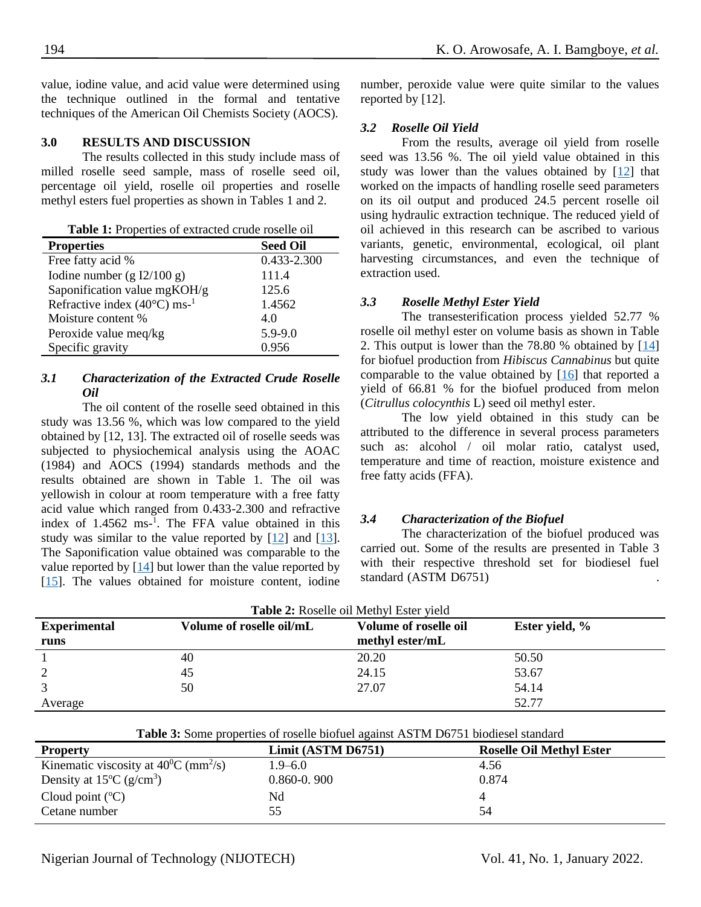value, iodine value, and acid value were determined using the technique outlined in the formal and tentative techniques of the American Oil Chemists Society (AOCS).

#### **3.0 RESULTS AND DISCUSSION**

The results collected in this study include mass of milled roselle seed sample, mass of roselle seed oil, percentage oil yield, roselle oil properties and roselle methyl esters fuel properties as shown in Tables 1 and 2.

| Table 1: Properties of extracted crude roselle oil |  |
|----------------------------------------------------|--|
|----------------------------------------------------|--|

| <b>Properties</b>                                  | <b>Seed Oil</b> |
|----------------------------------------------------|-----------------|
| Free fatty acid %                                  | 0.433-2.300     |
| Iodine number (g $I2/100$ g)                       | 111.4           |
| Saponification value mgKOH/g                       | 125.6           |
| Refractive index $(40^{\circ}$ C) ms- <sup>1</sup> | 1.4562          |
| Moisture content %                                 | 4.0             |
| Peroxide value meq/kg                              | 5.9-9.0         |
| Specific gravity                                   | 0.956           |

#### *3.1 Characterization of the Extracted Crude Roselle Oil*

The oil content of the roselle seed obtained in this study was 13.56 %, which was low compared to the yield obtained by [12, 13]. The extracted oil of roselle seeds was subjected to physiochemical analysis using the AOAC (1984) and AOCS (1994) standards methods and the results obtained are shown in Table 1. The oil was yellowish in colour at room temperature with a free fatty acid value which ranged from 0.433-2.300 and refractive index of 1.4562 ms-1 . The FFA value obtained in this study was similar to the value reported by [\[12\]](#page-5-2) and [\[13\]](#page-5-3). The Saponification value obtained was comparable to the value reported by  $[14]$  but lower than the value reported by [\[15\]](#page-5-5). The values obtained for moisture content, iodine

number, peroxide value were quite similar to the values reported by [12].

#### *3.2 Roselle Oil Yield*

From the results, average oil yield from roselle seed was 13.56 %. The oil yield value obtained in this study was lower than the values obtained by [\[12\]](#page-5-2) that worked on the impacts of handling roselle seed parameters on its oil output and produced 24.5 percent roselle oil using hydraulic extraction technique. The reduced yield of oil achieved in this research can be ascribed to various variants, genetic, environmental, ecological, oil plant harvesting circumstances, and even the technique of extraction used.

#### *3.3 Roselle Methyl Ester Yield*

The transesterification process yielded 52.77 % roselle oil methyl ester on volume basis as shown in Table 2. This output is lower than the 78.80 % obtained by [\[14\]](#page-5-4) for biofuel production from *Hibiscus Cannabinus* but quite comparable to the value obtained by [\[16\]](#page-5-6) that reported a yield of 66.81 % for the biofuel produced from melon (*Citrullus colocynthis* L) seed oil methyl ester.

The low yield obtained in this study can be attributed to the difference in several process parameters such as: alcohol / oil molar ratio, catalyst used, temperature and time of reaction, moisture existence and free fatty acids (FFA).

#### *3.4 Characterization of the Biofuel*

The characterization of the biofuel produced was carried out. Some of the results are presented in Table 3 with their respective threshold set for biodiesel fuel standard (ASTM D6751) .

| <b>Table 2:</b> Roselle oil Methyl Ester yield |                          |                       |                |  |
|------------------------------------------------|--------------------------|-----------------------|----------------|--|
| <b>Experimental</b>                            | Volume of roselle oil/mL | Volume of roselle oil | Ester yield, % |  |
| runs                                           |                          | methyl ester/mL       |                |  |
|                                                | 40                       | 20.20                 | 50.50          |  |
|                                                | 45                       | 24.15                 | 53.67          |  |
|                                                | 50                       | 27.07                 | 54.14          |  |
| Average                                        |                          |                       | 52.77          |  |

| Table 3: Some properties of roselle biofuel against ASTM D6751 biodiesel standard |                    |                                 |  |
|-----------------------------------------------------------------------------------|--------------------|---------------------------------|--|
| <b>Property</b>                                                                   | Limit (ASTM D6751) | <b>Roselle Oil Methyl Ester</b> |  |
| Kinematic viscosity at $40^{\circ}$ C (mm <sup>2</sup> /s)                        | $1.9 - 6.0$        | 4.56                            |  |
| Density at $15^{\circ}$ C (g/cm <sup>3</sup> )                                    | $0.860 - 0.900$    | 0.874                           |  |

Cloud point  $({}^{\circ}C)$  Nd 4 Cetane number 55 55 54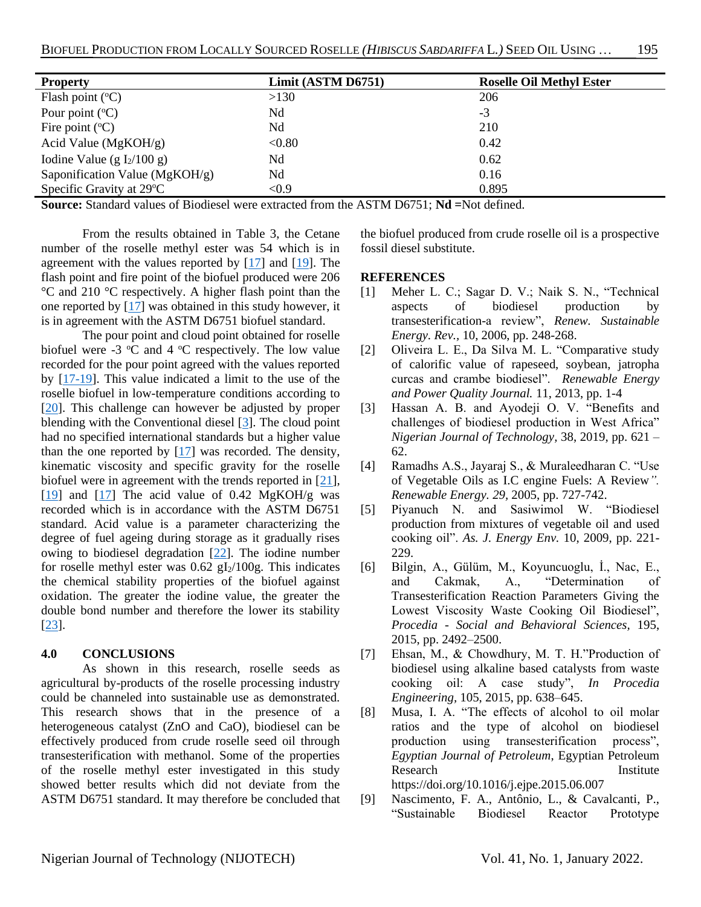| <b>Property</b>                | Limit (ASTM D6751) | <b>Roselle Oil Methyl Ester</b> |
|--------------------------------|--------------------|---------------------------------|
| Flash point $(^{\circ}C)$      | >130               | 206                             |
| Pour point $({}^{\circ}C)$     | Nd                 | -3                              |
| Fire point $({}^{\circ}C)$     | Nd                 | 210                             |
| Acid Value ( $MgKOH/g$ )       | < 0.80             | 0.42                            |
| Iodine Value (g $I_2/100$ g)   | Nd                 | 0.62                            |
| Saponification Value (MgKOH/g) | Nd                 | 0.16                            |
| Specific Gravity at 29 °C      | < 0.9              | 0.895                           |

**Source:** Standard values of Biodiesel were extracted from the ASTM D6751; **Nd =**Not defined.

From the results obtained in Table 3, the Cetane number of the roselle methyl ester was 54 which is in agreement with the values reported by  $[17]$  and  $[19]$ . The flash point and fire point of the biofuel produced were 206 °C and 210 °C respectively. A higher flash point than the one reported by [\[17\]](#page-5-7) was obtained in this study however, it is in agreement with the ASTM D6751 biofuel standard.

The pour point and cloud point obtained for roselle biofuel were  $-3$  °C and  $4$  °C respectively. The low value recorded for the pour point agreed with the values reported by [\[17](#page-5-7)[-19\]](#page-5-8). This value indicated a limit to the use of the roselle biofuel in low-temperature conditions according to [\[20\]](#page-5-9). This challenge can however be adjusted by proper blending with the Conventional diesel [\[3\]](#page-4-2). The cloud point had no specified international standards but a higher value than the one reported by  $[17]$  was recorded. The density, kinematic viscosity and specific gravity for the roselle biofuel were in agreement with the trends reported in [\[21\]](#page-5-10), [\[19\]](#page-5-8) and [\[17\]](#page-5-7) The acid value of 0.42 MgKOH/g was recorded which is in accordance with the ASTM D6751 standard. Acid value is a parameter characterizing the degree of fuel ageing during storage as it gradually rises owing to biodiesel degradation [\[22\]](#page-5-11). The iodine number for roselle methyl ester was  $0.62$  gI<sub>2</sub>/100g. This indicates the chemical stability properties of the biofuel against oxidation. The greater the iodine value, the greater the double bond number and therefore the lower its stability [\[23\]](#page-5-12).

#### **4.0 CONCLUSIONS**

As shown in this research, roselle seeds as agricultural by-products of the roselle processing industry could be channeled into sustainable use as demonstrated. This research shows that in the presence of a heterogeneous catalyst (ZnO and CaO), biodiesel can be effectively produced from crude roselle seed oil through transesterification with methanol. Some of the properties of the roselle methyl ester investigated in this study showed better results which did not deviate from the ASTM D6751 standard. It may therefore be concluded that

the biofuel produced from crude roselle oil is a prospective fossil diesel substitute.

# **REFERENCES**

- <span id="page-4-0"></span>[1] Meher L. C.; Sagar D. V.; Naik S. N., "Technical aspects of biodiesel production by transesterification-a review", *Renew. Sustainable Energy. Rev.,* 10, 2006, pp. 248-268.
- <span id="page-4-1"></span>[2] Oliveira L. E., Da Silva M. L. "Comparative study of calorific value of rapeseed, soybean, jatropha curcas and crambe biodiesel". *Renewable Energy and Power Quality Journal.* 11, 2013, pp. 1-4
- <span id="page-4-2"></span>[3] Hassan A. B. and Ayodeji O. V. "Benefits and challenges of biodiesel production in West Africa" *Nigerian Journal of Technology,* 38, 2019, pp. 621 – 62.
- <span id="page-4-3"></span>[4] Ramadhs A.S., Jayaraj S., & Muraleedharan C. "Use of Vegetable Oils as I.C engine Fuels: A Review*". Renewable Energy. 29,* 2005, pp. 727-742.
- <span id="page-4-4"></span>[5] Piyanuch N. and Sasiwimol W. "Biodiesel production from mixtures of vegetable oil and used cooking oil". *As. J. Energy Env.* 10, 2009, pp. 221- 229.
- <span id="page-4-5"></span>[6] Bilgin, A., Gülüm, M., Koyuncuoglu, İ., Nac, E., and Cakmak, A., "Determination of Transesterification Reaction Parameters Giving the Lowest Viscosity Waste Cooking Oil Biodiesel", *Procedia - Social and Behavioral Sciences,* 195, 2015, pp. 2492–2500.
- [7] Ehsan, M., & Chowdhury, M. T. H."Production of biodiesel using alkaline based catalysts from waste cooking oil: A case study", *In Procedia Engineering,* 105, 2015, pp. 638–645.
- [8] Musa, I. A. "The effects of alcohol to oil molar ratios and the type of alcohol on biodiesel production using transesterification process", *Egyptian Journal of Petroleum*, Egyptian Petroleum Research Institute https://doi.org/10.1016/j.ejpe.2015.06.007
- [9] Nascimento, F. A., Antônio, L., & Cavalcanti, P., "Sustainable Biodiesel Reactor Prototype